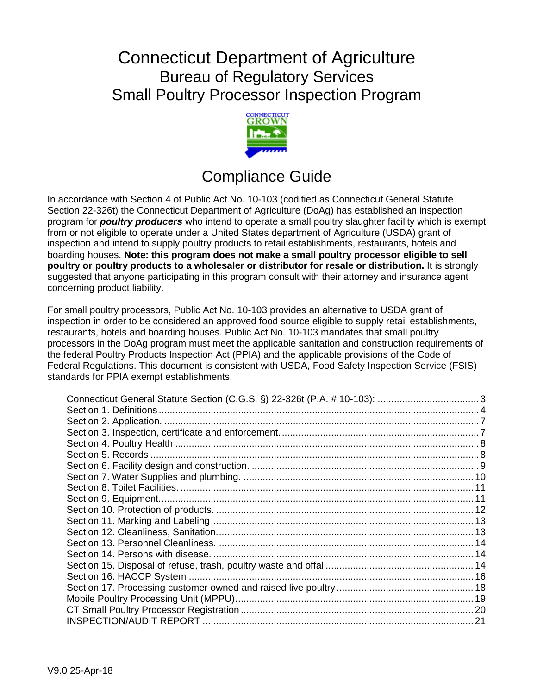# Connecticut Department of Agriculture Bureau of Regulatory Services Small Poultry Processor Inspection Program



# Compliance Guide

In accordance with Section 4 of Public Act No. 10-103 (codified as Connecticut General Statute Section 22-326t) the Connecticut Department of Agriculture (DoAg) has established an inspection program for *poultry producers* who intend to operate a small poultry slaughter facility which is exempt from or not eligible to operate under a United States department of Agriculture (USDA) grant of inspection and intend to supply poultry products to retail establishments, restaurants, hotels and boarding houses. **Note: this program does not make a small poultry processor eligible to sell poultry or poultry products to a wholesaler or distributor for resale or distribution.** It is strongly suggested that anyone participating in this program consult with their attorney and insurance agent concerning product liability.

For small poultry processors, Public Act No. 10-103 provides an alternative to USDA grant of inspection in order to be considered an approved food source eligible to supply retail establishments, restaurants, hotels and boarding houses. Public Act No. 10-103 mandates that small poultry processors in the DoAg program must meet the applicable sanitation and construction requirements of the federal Poultry Products Inspection Act (PPIA) and the applicable provisions of the Code of Federal Regulations. This document is consistent with USDA, Food Safety Inspection Service (FSIS) standards for PPIA exempt establishments.

<span id="page-0-0"></span>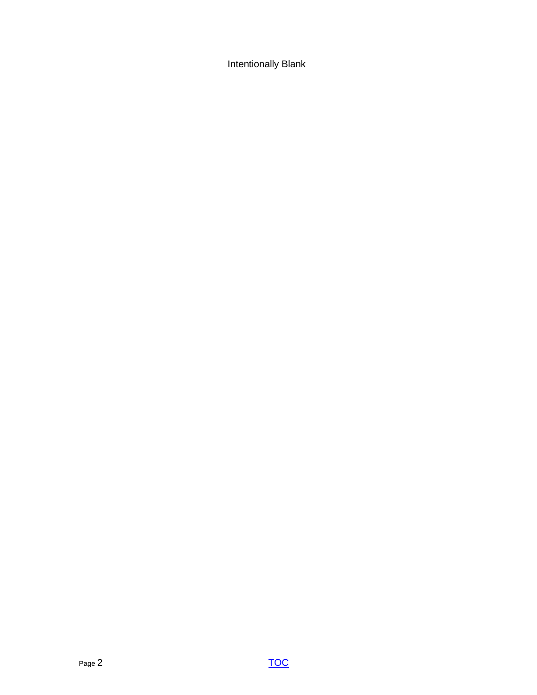Intentionally Blank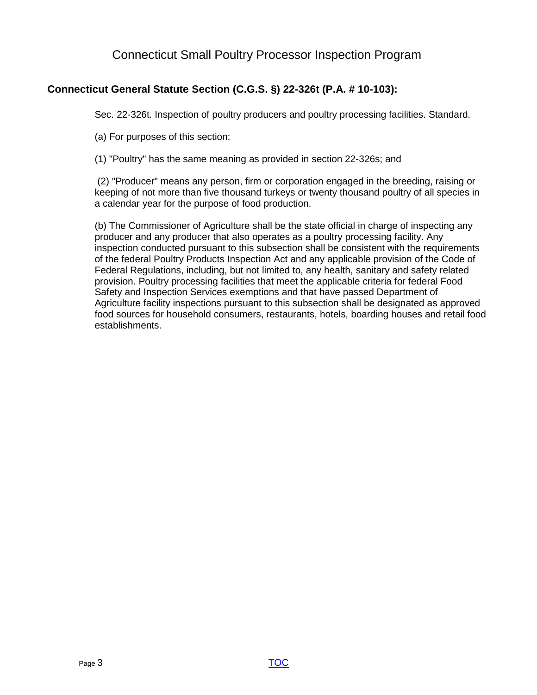# <span id="page-2-0"></span>**Connecticut General Statute Section (C.G.S. §) 22-326t (P.A. # 10-103):**

Sec. 22-326t. Inspection of poultry producers and poultry processing facilities. Standard.

(a) For purposes of this section:

(1) "Poultry" has the same meaning as provided in section 22-326s; and

(2) "Producer" means any person, firm or corporation engaged in the breeding, raising or keeping of not more than five thousand turkeys or twenty thousand poultry of all species in a calendar year for the purpose of food production.

(b) The Commissioner of Agriculture shall be the state official in charge of inspecting any producer and any producer that also operates as a poultry processing facility. Any inspection conducted pursuant to this subsection shall be consistent with the requirements of the federal Poultry Products Inspection Act and any applicable provision of the Code of Federal Regulations, including, but not limited to, any health, sanitary and safety related provision. Poultry processing facilities that meet the applicable criteria for federal Food Safety and Inspection Services exemptions and that have passed Department of Agriculture facility inspections pursuant to this subsection shall be designated as approved food sources for household consumers, restaurants, hotels, boarding houses and retail food establishments.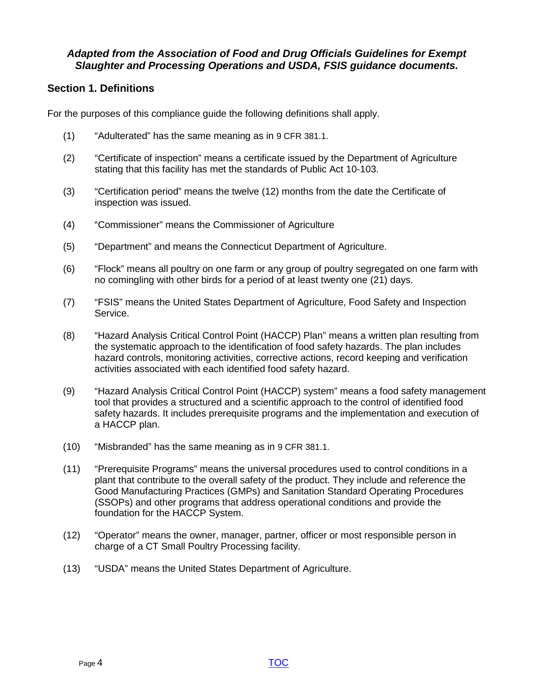### *Adapted from the Association of Food and Drug Officials Guidelines for Exempt Slaughter and Processing Operations and USDA, FSIS guidance documents.*

# <span id="page-3-0"></span>**Section 1. Definitions**

For the purposes of this compliance guide the following definitions shall apply.

- (1) "Adulterated" has the same meaning as in 9 CFR 381.1.
- (2) "Certificate of inspection" means a certificate issued by the Department of Agriculture stating that this facility has met the standards of Public Act 10-103.
- (3) "Certification period" means the twelve (12) months from the date the Certificate of inspection was issued.
- (4) "Commissioner" means the Commissioner of Agriculture
- (5) "Department" and means the Connecticut Department of Agriculture.
- (6) "Flock" means all poultry on one farm or any group of poultry segregated on one farm with no comingling with other birds for a period of at least twenty one (21) days.
- (7) "FSIS" means the United States Department of Agriculture, Food Safety and Inspection Service.
- (8) "Hazard Analysis Critical Control Point (HACCP) Plan" means a written plan resulting from the systematic approach to the identification of food safety hazards. The plan includes hazard controls, monitoring activities, corrective actions, record keeping and verification activities associated with each identified food safety hazard.
- (9) "Hazard Analysis Critical Control Point (HACCP) system" means a food safety management tool that provides a structured and a scientific approach to the control of identified food safety hazards. It includes prerequisite programs and the implementation and execution of a HACCP plan.
- (10) "Misbranded" has the same meaning as in 9 CFR 381.1.
- (11) "Prerequisite Programs" means the universal procedures used to control conditions in a plant that contribute to the overall safety of the product. They include and reference the Good Manufacturing Practices (GMPs) and Sanitation Standard Operating Procedures (SSOPs) and other programs that address operational conditions and provide the foundation for the HACCP System.
- (12) "Operator" means the owner, manager, partner, officer or most responsible person in charge of a CT Small Poultry Processing facility.
- (13) "USDA" means the United States Department of Agriculture.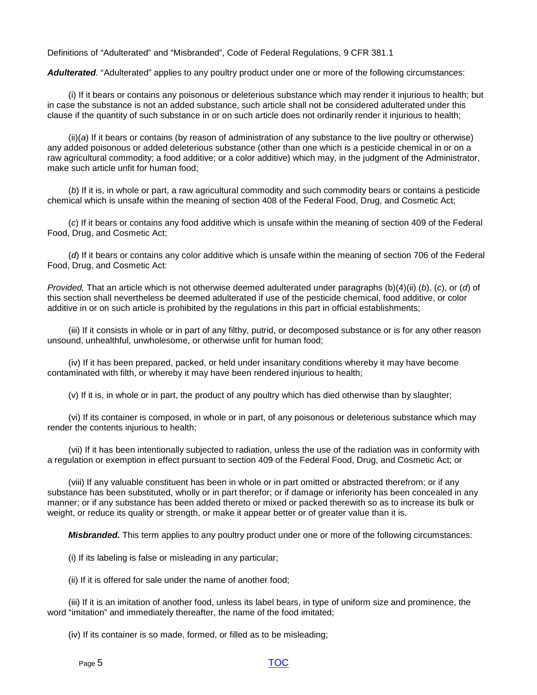Definitions of "Adulterated" and "Misbranded", Code of Federal Regulations, 9 CFR 381.1

*Adulterated.* "Adulterated" applies to any poultry product under one or more of the following circumstances:

(i) If it bears or contains any poisonous or deleterious substance which may render it injurious to health; but in case the substance is not an added substance, such article shall not be considered adulterated under this clause if the quantity of such substance in or on such article does not ordinarily render it injurious to health;

(ii)(*a*) If it bears or contains (by reason of administration of any substance to the live poultry or otherwise) any added poisonous or added deleterious substance (other than one which is a pesticide chemical in or on a raw agricultural commodity; a food additive; or a color additive) which may, in the judgment of the Administrator, make such article unfit for human food;

(*b*) If it is, in whole or part, a raw agricultural commodity and such commodity bears or contains a pesticide chemical which is unsafe within the meaning of section 408 of the Federal Food, Drug, and Cosmetic Act;

(*c*) If it bears or contains any food additive which is unsafe within the meaning of section 409 of the Federal Food, Drug, and Cosmetic Act;

(*d*) If it bears or contains any color additive which is unsafe within the meaning of section 706 of the Federal Food, Drug, and Cosmetic Act:

*Provided,* That an article which is not otherwise deemed adulterated under paragraphs (b)(4)(ii) (*b*), (*c*), or (*d*) of this section shall nevertheless be deemed adulterated if use of the pesticide chemical, food additive, or color additive in or on such article is prohibited by the regulations in this part in official establishments;

(iii) If it consists in whole or in part of any filthy, putrid, or decomposed substance or is for any other reason unsound, unhealthful, unwholesome, or otherwise unfit for human food;

(iv) If it has been prepared, packed, or held under insanitary conditions whereby it may have become contaminated with filth, or whereby it may have been rendered injurious to health;

(v) If it is, in whole or in part, the product of any poultry which has died otherwise than by slaughter;

(vi) If its container is composed, in whole or in part, of any poisonous or deleterious substance which may render the contents injurious to health;

(vii) If it has been intentionally subjected to radiation, unless the use of the radiation was in conformity with a regulation or exemption in effect pursuant to section 409 of the Federal Food, Drug, and Cosmetic Act; or

(viii) If any valuable constituent has been in whole or in part omitted or abstracted therefrom; or if any substance has been substituted, wholly or in part therefor; or if damage or inferiority has been concealed in any manner; or if any substance has been added thereto or mixed or packed therewith so as to increase its bulk or weight, or reduce its quality or strength, or make it appear better or of greater value than it is.

*Misbranded.* This term applies to any poultry product under one or more of the following circumstances:

(i) If its labeling is false or misleading in any particular;

(ii) If it is offered for sale under the name of another food;

(iii) If it is an imitation of another food, unless its label bears, in type of uniform size and prominence, the word "imitation" and immediately thereafter, the name of the food imitated;

(iv) If its container is so made, formed, or filled as to be misleading;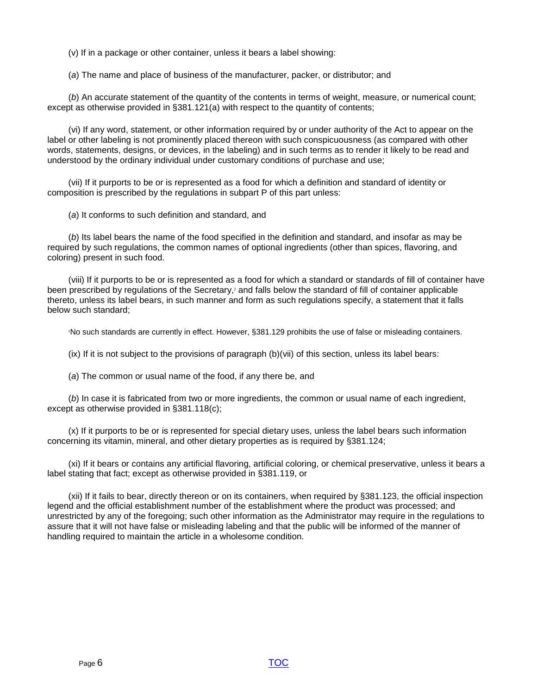(v) If in a package or other container, unless it bears a label showing:

(*a*) The name and place of business of the manufacturer, packer, or distributor; and

(*b*) An accurate statement of the quantity of the contents in terms of weight, measure, or numerical count; except as otherwise provided in §381.121(a) with respect to the quantity of contents;

(vi) If any word, statement, or other information required by or under authority of the Act to appear on the label or other labeling is not prominently placed thereon with such conspicuousness (as compared with other words, statements, designs, or devices, in the labeling) and in such terms as to render it likely to be read and understood by the ordinary individual under customary conditions of purchase and use;

(vii) If it purports to be or is represented as a food for which a definition and standard of identity or composition is prescribed by the regulations in subpart P of this part unless:

(*a*) It conforms to such definition and standard, and

(*b*) Its label bears the name of the food specified in the definition and standard, and insofar as may be required by such regulations, the common names of optional ingredients (other than spices, flavoring, and coloring) present in such food.

(viii) If it purports to be or is represented as a food for which a standard or standards of fill of container have been prescribed by regulations of the Secretary,<sup>2</sup> and falls below the standard of fill of container applicable thereto, unless its label bears, in such manner and form as such regulations specify, a statement that it falls below such standard;

2 No such standards are currently in effect. However, §381.129 prohibits the use of false or misleading containers.

(ix) If it is not subject to the provisions of paragraph (b)(vii) of this section, unless its label bears:

(*a*) The common or usual name of the food, if any there be, and

(*b*) In case it is fabricated from two or more ingredients, the common or usual name of each ingredient, except as otherwise provided in §381.118(c);

(x) If it purports to be or is represented for special dietary uses, unless the label bears such information concerning its vitamin, mineral, and other dietary properties as is required by §381.124;

(xi) If it bears or contains any artificial flavoring, artificial coloring, or chemical preservative, unless it bears a label stating that fact; except as otherwise provided in §381.119, or

(xii) If it fails to bear, directly thereon or on its containers, when required by §381.123, the official inspection legend and the official establishment number of the establishment where the product was processed; and unrestricted by any of the foregoing; such other information as the Administrator may require in the regulations to assure that it will not have false or misleading labeling and that the public will be informed of the manner of handling required to maintain the article in a wholesome condition.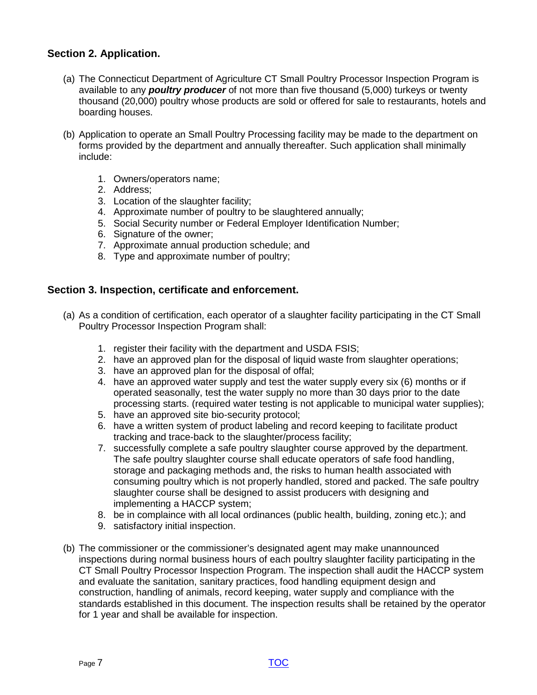# <span id="page-6-0"></span>**Section 2. Application.**

- (a) The Connecticut Department of Agriculture CT Small Poultry Processor Inspection Program is available to any *poultry producer* of not more than five thousand (5,000) turkeys or twenty thousand (20,000) poultry whose products are sold or offered for sale to restaurants, hotels and boarding houses.
- (b) Application to operate an Small Poultry Processing facility may be made to the department on forms provided by the department and annually thereafter. Such application shall minimally include:
	- 1. Owners/operators name;
	- 2. Address;
	- 3. Location of the slaughter facility;
	- 4. Approximate number of poultry to be slaughtered annually;
	- 5. Social Security number or Federal Employer Identification Number;
	- 6. Signature of the owner;
	- 7. Approximate annual production schedule; and
	- 8. Type and approximate number of poultry;

### <span id="page-6-1"></span>**Section 3. Inspection, certificate and enforcement.**

- (a) As a condition of certification, each operator of a slaughter facility participating in the CT Small Poultry Processor Inspection Program shall:
	- 1. register their facility with the department and USDA FSIS;
	- 2. have an approved plan for the disposal of liquid waste from slaughter operations;
	- 3. have an approved plan for the disposal of offal;
	- 4. have an approved water supply and test the water supply every six (6) months or if operated seasonally, test the water supply no more than 30 days prior to the date processing starts. (required water testing is not applicable to municipal water supplies);
	- 5. have an approved site bio-security protocol;
	- 6. have a written system of product labeling and record keeping to facilitate product tracking and trace-back to the slaughter/process facility;
	- 7. successfully complete a safe poultry slaughter course approved by the department. The safe poultry slaughter course shall educate operators of safe food handling, storage and packaging methods and, the risks to human health associated with consuming poultry which is not properly handled, stored and packed. The safe poultry slaughter course shall be designed to assist producers with designing and implementing a HACCP system;
	- 8. be in complaince with all local ordinances (public health, building, zoning etc.); and
	- 9. satisfactory initial inspection.
- (b) The commissioner or the commissioner's designated agent may make unannounced inspections during normal business hours of each poultry slaughter facility participating in the CT Small Poultry Processor Inspection Program. The inspection shall audit the HACCP system and evaluate the sanitation, sanitary practices, food handling equipment design and construction, handling of animals, record keeping, water supply and compliance with the standards established in this document. The inspection results shall be retained by the operator for 1 year and shall be available for inspection.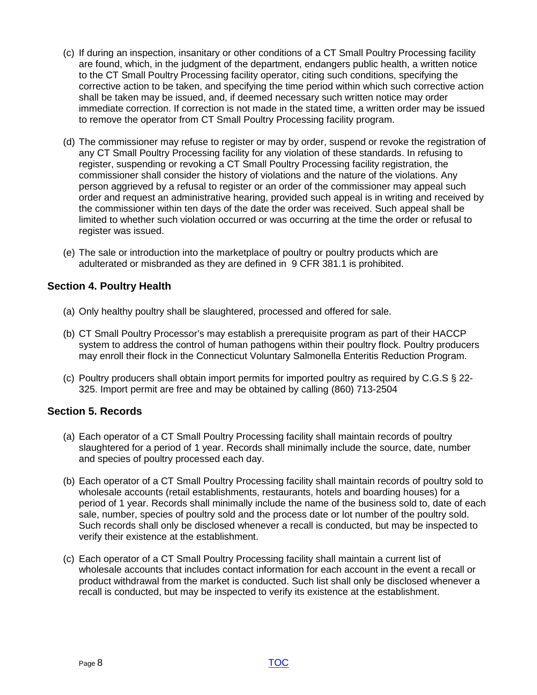- (c) If during an inspection, insanitary or other conditions of a CT Small Poultry Processing facility are found, which, in the judgment of the department, endangers public health, a written notice to the CT Small Poultry Processing facility operator, citing such conditions, specifying the corrective action to be taken, and specifying the time period within which such corrective action shall be taken may be issued, and, if deemed necessary such written notice may order immediate correction. If correction is not made in the stated time, a written order may be issued to remove the operator from CT Small Poultry Processing facility program.
- (d) The commissioner may refuse to register or may by order, suspend or revoke the registration of any CT Small Poultry Processing facility for any violation of these standards. In refusing to register, suspending or revoking a CT Small Poultry Processing facility registration, the commissioner shall consider the history of violations and the nature of the violations. Any person aggrieved by a refusal to register or an order of the commissioner may appeal such order and request an administrative hearing, provided such appeal is in writing and received by the commissioner within ten days of the date the order was received. Such appeal shall be limited to whether such violation occurred or was occurring at the time the order or refusal to register was issued.
- (e) The sale or introduction into the marketplace of poultry or poultry products which are adulterated or misbranded as they are defined in 9 CFR 381.1 is prohibited.

# <span id="page-7-0"></span>**Section 4. Poultry Health**

- (a) Only healthy poultry shall be slaughtered, processed and offered for sale.
- (b) CT Small Poultry Processor's may establish a prerequisite program as part of their HACCP system to address the control of human pathogens within their poultry flock. Poultry producers may enroll their flock in the Connecticut Voluntary Salmonella Enteritis Reduction Program.
- (c) Poultry producers shall obtain import permits for imported poultry as required by C.G.S § 22- 325. Import permit are free and may be obtained by calling (860) 713-2504

# <span id="page-7-1"></span>**Section 5. Records**

- (a) Each operator of a CT Small Poultry Processing facility shall maintain records of poultry slaughtered for a period of 1 year. Records shall minimally include the source, date, number and species of poultry processed each day.
- (b) Each operator of a CT Small Poultry Processing facility shall maintain records of poultry sold to wholesale accounts (retail establishments, restaurants, hotels and boarding houses) for a period of 1 year. Records shall minimally include the name of the business sold to, date of each sale, number, species of poultry sold and the process date or lot number of the poultry sold. Such records shall only be disclosed whenever a recall is conducted, but may be inspected to verify their existence at the establishment.
- (c) Each operator of a CT Small Poultry Processing facility shall maintain a current list of wholesale accounts that includes contact information for each account in the event a recall or product withdrawal from the market is conducted. Such list shall only be disclosed whenever a recall is conducted, but may be inspected to verify its existence at the establishment.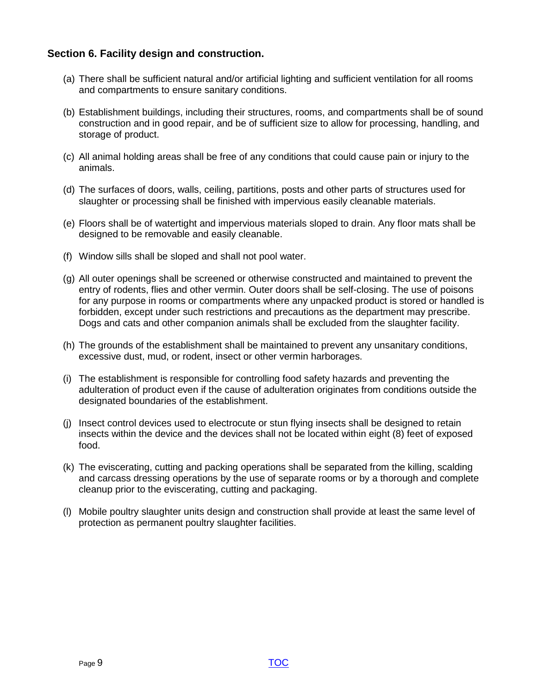# <span id="page-8-0"></span>**Section 6. Facility design and construction.**

- (a) There shall be sufficient natural and/or artificial lighting and sufficient ventilation for all rooms and compartments to ensure sanitary conditions.
- (b) Establishment buildings, including their structures, rooms, and compartments shall be of sound construction and in good repair, and be of sufficient size to allow for processing, handling, and storage of product.
- (c) All animal holding areas shall be free of any conditions that could cause pain or injury to the animals.
- (d) The surfaces of doors, walls, ceiling, partitions, posts and other parts of structures used for slaughter or processing shall be finished with impervious easily cleanable materials.
- (e) Floors shall be of watertight and impervious materials sloped to drain. Any floor mats shall be designed to be removable and easily cleanable.
- (f) Window sills shall be sloped and shall not pool water.
- (g) All outer openings shall be screened or otherwise constructed and maintained to prevent the entry of rodents, flies and other vermin. Outer doors shall be self-closing. The use of poisons for any purpose in rooms or compartments where any unpacked product is stored or handled is forbidden, except under such restrictions and precautions as the department may prescribe. Dogs and cats and other companion animals shall be excluded from the slaughter facility.
- (h) The grounds of the establishment shall be maintained to prevent any unsanitary conditions, excessive dust, mud, or rodent, insect or other vermin harborages.
- (i) The establishment is responsible for controlling food safety hazards and preventing the adulteration of product even if the cause of adulteration originates from conditions outside the designated boundaries of the establishment.
- (j) Insect control devices used to electrocute or stun flying insects shall be designed to retain insects within the device and the devices shall not be located within eight (8) feet of exposed food.
- (k) The eviscerating, cutting and packing operations shall be separated from the killing, scalding and carcass dressing operations by the use of separate rooms or by a thorough and complete cleanup prior to the eviscerating, cutting and packaging.
- (l) Mobile poultry slaughter units design and construction shall provide at least the same level of protection as permanent poultry slaughter facilities.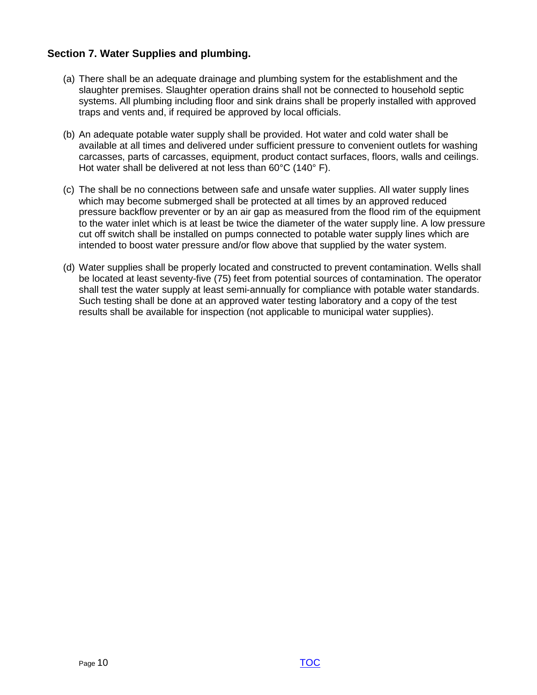# <span id="page-9-0"></span>**Section 7. Water Supplies and plumbing.**

- (a) There shall be an adequate drainage and plumbing system for the establishment and the slaughter premises. Slaughter operation drains shall not be connected to household septic systems. All plumbing including floor and sink drains shall be properly installed with approved traps and vents and, if required be approved by local officials.
- (b) An adequate potable water supply shall be provided. Hot water and cold water shall be available at all times and delivered under sufficient pressure to convenient outlets for washing carcasses, parts of carcasses, equipment, product contact surfaces, floors, walls and ceilings. Hot water shall be delivered at not less than 60°C (140° F).
- (c) The shall be no connections between safe and unsafe water supplies. All water supply lines which may become submerged shall be protected at all times by an approved reduced pressure backflow preventer or by an air gap as measured from the flood rim of the equipment to the water inlet which is at least be twice the diameter of the water supply line. A low pressure cut off switch shall be installed on pumps connected to potable water supply lines which are intended to boost water pressure and/or flow above that supplied by the water system.
- (d) Water supplies shall be properly located and constructed to prevent contamination. Wells shall be located at least seventy-five (75) feet from potential sources of contamination. The operator shall test the water supply at least semi-annually for compliance with potable water standards. Such testing shall be done at an approved water testing laboratory and a copy of the test results shall be available for inspection (not applicable to municipal water supplies).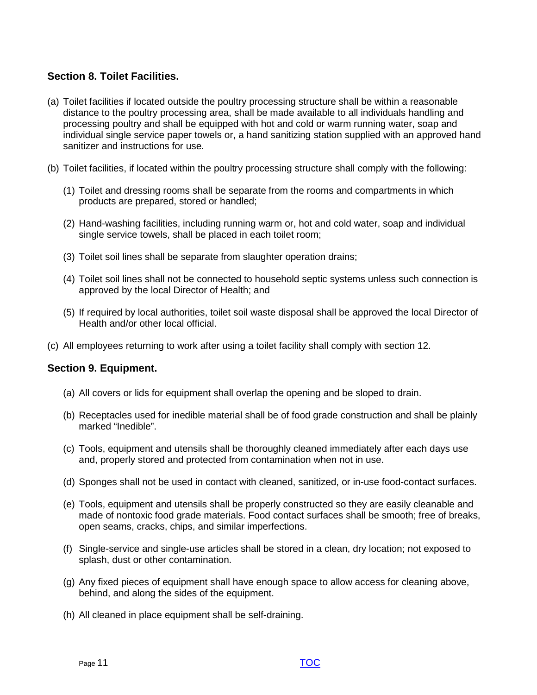# <span id="page-10-0"></span>**Section 8. Toilet Facilities.**

- (a) Toilet facilities if located outside the poultry processing structure shall be within a reasonable distance to the poultry processing area, shall be made available to all individuals handling and processing poultry and shall be equipped with hot and cold or warm running water, soap and individual single service paper towels or, a hand sanitizing station supplied with an approved hand sanitizer and instructions for use.
- (b) Toilet facilities, if located within the poultry processing structure shall comply with the following:
	- (1) Toilet and dressing rooms shall be separate from the rooms and compartments in which products are prepared, stored or handled;
	- (2) Hand-washing facilities, including running warm or, hot and cold water, soap and individual single service towels, shall be placed in each toilet room;
	- (3) Toilet soil lines shall be separate from slaughter operation drains;
	- (4) Toilet soil lines shall not be connected to household septic systems unless such connection is approved by the local Director of Health; and
	- (5) If required by local authorities, toilet soil waste disposal shall be approved the local Director of Health and/or other local official.
- <span id="page-10-1"></span>(c) All employees returning to work after using a toilet facility shall comply with section 12.

# **Section 9. Equipment.**

- (a) All covers or lids for equipment shall overlap the opening and be sloped to drain.
- (b) Receptacles used for inedible material shall be of food grade construction and shall be plainly marked "Inedible".
- (c) Tools, equipment and utensils shall be thoroughly cleaned immediately after each days use and, properly stored and protected from contamination when not in use.
- (d) Sponges shall not be used in contact with cleaned, sanitized, or in-use food-contact surfaces.
- (e) Tools, equipment and utensils shall be properly constructed so they are easily cleanable and made of nontoxic food grade materials. Food contact surfaces shall be smooth; free of breaks, open seams, cracks, chips, and similar imperfections.
- (f) Single-service and single-use articles shall be stored in a clean, dry location; not exposed to splash, dust or other contamination.
- (g) Any fixed pieces of equipment shall have enough space to allow access for cleaning above, behind, and along the sides of the equipment.
- (h) All cleaned in place equipment shall be self-draining.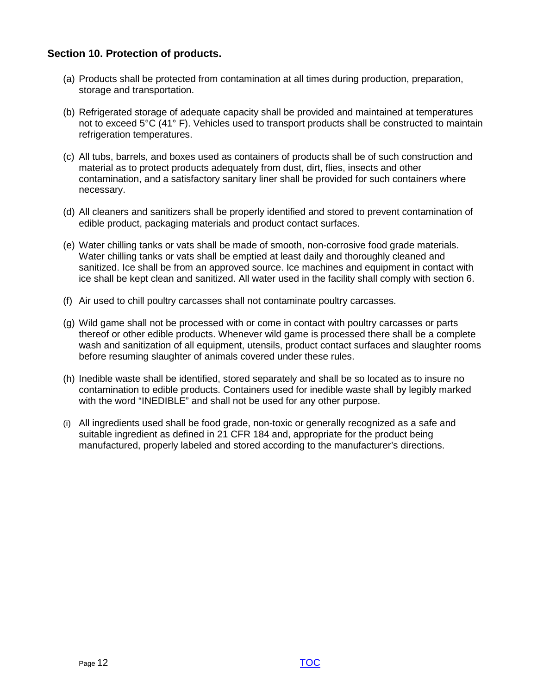# <span id="page-11-0"></span>**Section 10. Protection of products.**

- (a) Products shall be protected from contamination at all times during production, preparation, storage and transportation.
- (b) Refrigerated storage of adequate capacity shall be provided and maintained at temperatures not to exceed 5°C (41° F). Vehicles used to transport products shall be constructed to maintain refrigeration temperatures.
- (c) All tubs, barrels, and boxes used as containers of products shall be of such construction and material as to protect products adequately from dust, dirt, flies, insects and other contamination, and a satisfactory sanitary liner shall be provided for such containers where necessary.
- (d) All cleaners and sanitizers shall be properly identified and stored to prevent contamination of edible product, packaging materials and product contact surfaces.
- (e) Water chilling tanks or vats shall be made of smooth, non-corrosive food grade materials. Water chilling tanks or vats shall be emptied at least daily and thoroughly cleaned and sanitized. Ice shall be from an approved source. Ice machines and equipment in contact with ice shall be kept clean and sanitized. All water used in the facility shall comply with section 6.
- (f) Air used to chill poultry carcasses shall not contaminate poultry carcasses.
- (g) Wild game shall not be processed with or come in contact with poultry carcasses or parts thereof or other edible products. Whenever wild game is processed there shall be a complete wash and sanitization of all equipment, utensils, product contact surfaces and slaughter rooms before resuming slaughter of animals covered under these rules.
- (h) Inedible waste shall be identified, stored separately and shall be so located as to insure no contamination to edible products. Containers used for inedible waste shall by legibly marked with the word "INEDIBLE" and shall not be used for any other purpose.
- (i) All ingredients used shall be food grade, non-toxic or generally recognized as a safe and suitable ingredient as defined in 21 CFR 184 and, appropriate for the product being manufactured, properly labeled and stored according to the manufacturer's directions.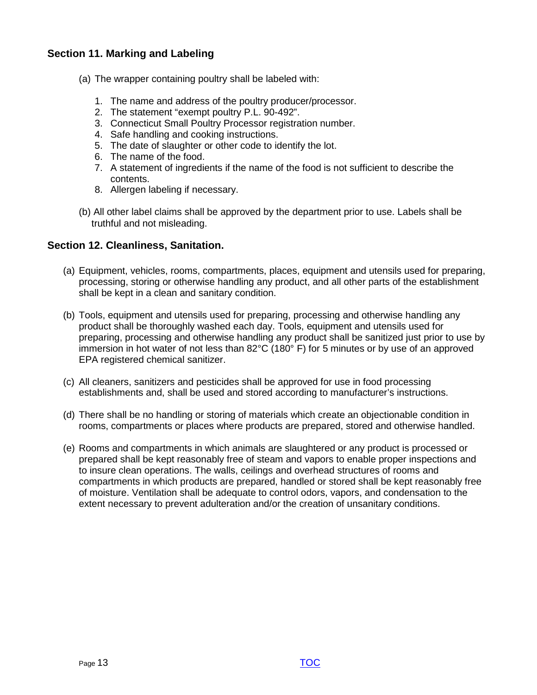# <span id="page-12-0"></span>**Section 11. Marking and Labeling**

- (a) The wrapper containing poultry shall be labeled with:
	- 1. The name and address of the poultry producer/processor.
	- 2. The statement "exempt poultry P.L. 90-492".
	- 3. Connecticut Small Poultry Processor registration number.
	- 4. Safe handling and cooking instructions.
	- 5. The date of slaughter or other code to identify the lot.
	- 6. The name of the food.
	- 7. A statement of ingredients if the name of the food is not sufficient to describe the contents.
	- 8. Allergen labeling if necessary.
- (b) All other label claims shall be approved by the department prior to use. Labels shall be truthful and not misleading.

### <span id="page-12-1"></span>**Section 12. Cleanliness, Sanitation.**

- (a) Equipment, vehicles, rooms, compartments, places, equipment and utensils used for preparing, processing, storing or otherwise handling any product, and all other parts of the establishment shall be kept in a clean and sanitary condition.
- (b) Tools, equipment and utensils used for preparing, processing and otherwise handling any product shall be thoroughly washed each day. Tools, equipment and utensils used for preparing, processing and otherwise handling any product shall be sanitized just prior to use by immersion in hot water of not less than 82°C (180° F) for 5 minutes or by use of an approved EPA registered chemical sanitizer.
- (c) All cleaners, sanitizers and pesticides shall be approved for use in food processing establishments and, shall be used and stored according to manufacturer's instructions.
- (d) There shall be no handling or storing of materials which create an objectionable condition in rooms, compartments or places where products are prepared, stored and otherwise handled.
- (e) Rooms and compartments in which animals are slaughtered or any product is processed or prepared shall be kept reasonably free of steam and vapors to enable proper inspections and to insure clean operations. The walls, ceilings and overhead structures of rooms and compartments in which products are prepared, handled or stored shall be kept reasonably free of moisture. Ventilation shall be adequate to control odors, vapors, and condensation to the extent necessary to prevent adulteration and/or the creation of unsanitary conditions.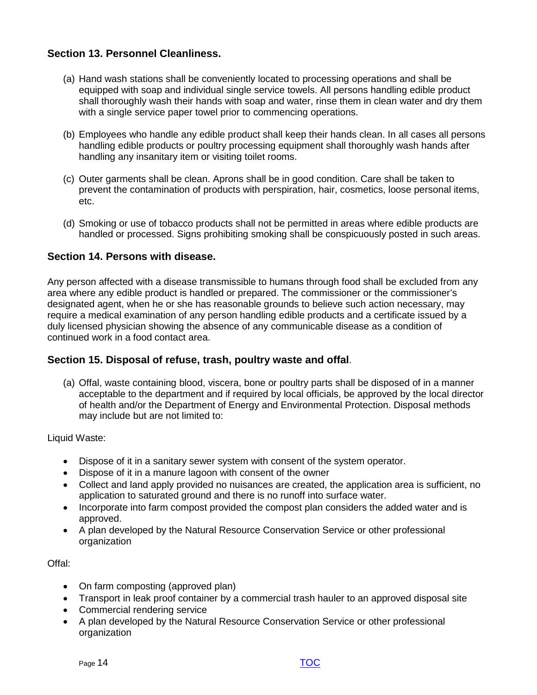# <span id="page-13-0"></span>**Section 13. Personnel Cleanliness.**

- (a) Hand wash stations shall be conveniently located to processing operations and shall be equipped with soap and individual single service towels. All persons handling edible product shall thoroughly wash their hands with soap and water, rinse them in clean water and dry them with a single service paper towel prior to commencing operations.
- (b) Employees who handle any edible product shall keep their hands clean. In all cases all persons handling edible products or poultry processing equipment shall thoroughly wash hands after handling any insanitary item or visiting toilet rooms.
- (c) Outer garments shall be clean. Aprons shall be in good condition. Care shall be taken to prevent the contamination of products with perspiration, hair, cosmetics, loose personal items, etc.
- (d) Smoking or use of tobacco products shall not be permitted in areas where edible products are handled or processed. Signs prohibiting smoking shall be conspicuously posted in such areas.

### <span id="page-13-1"></span>**Section 14. Persons with disease.**

Any person affected with a disease transmissible to humans through food shall be excluded from any area where any edible product is handled or prepared. The commissioner or the commissioner's designated agent, when he or she has reasonable grounds to believe such action necessary, may require a medical examination of any person handling edible products and a certificate issued by a duly licensed physician showing the absence of any communicable disease as a condition of continued work in a food contact area.

# <span id="page-13-2"></span>**Section 15. Disposal of refuse, trash, poultry waste and offal**.

(a) Offal, waste containing blood, viscera, bone or poultry parts shall be disposed of in a manner acceptable to the department and if required by local officials, be approved by the local director of health and/or the Department of Energy and Environmental Protection. Disposal methods may include but are not limited to:

Liquid Waste:

- Dispose of it in a sanitary sewer system with consent of the system operator.
- Dispose of it in a manure lagoon with consent of the owner
- Collect and land apply provided no nuisances are created, the application area is sufficient, no application to saturated ground and there is no runoff into surface water.
- Incorporate into farm compost provided the compost plan considers the added water and is approved.
- A plan developed by the Natural Resource Conservation Service or other professional organization

Offal:

- On farm composting (approved plan)
- Transport in leak proof container by a commercial trash hauler to an approved disposal site
- Commercial rendering service
- A plan developed by the Natural Resource Conservation Service or other professional organization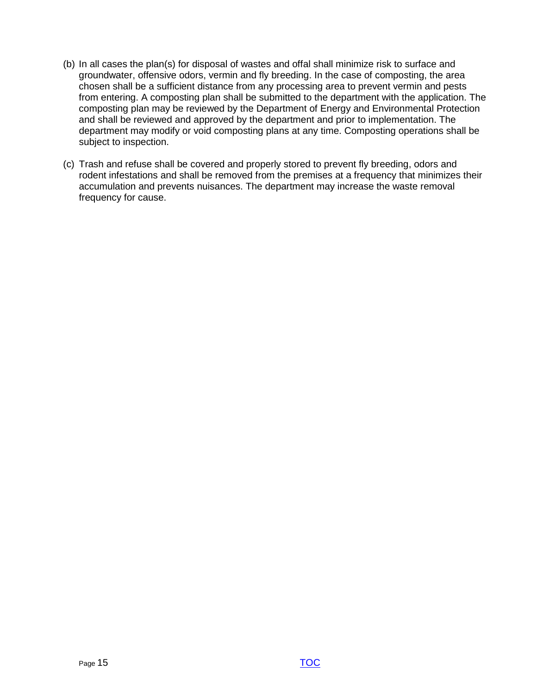- (b) In all cases the plan(s) for disposal of wastes and offal shall minimize risk to surface and groundwater, offensive odors, vermin and fly breeding. In the case of composting, the area chosen shall be a sufficient distance from any processing area to prevent vermin and pests from entering. A composting plan shall be submitted to the department with the application. The composting plan may be reviewed by the Department of Energy and Environmental Protection and shall be reviewed and approved by the department and prior to implementation. The department may modify or void composting plans at any time. Composting operations shall be subject to inspection.
- (c) Trash and refuse shall be covered and properly stored to prevent fly breeding, odors and rodent infestations and shall be removed from the premises at a frequency that minimizes their accumulation and prevents nuisances. The department may increase the waste removal frequency for cause.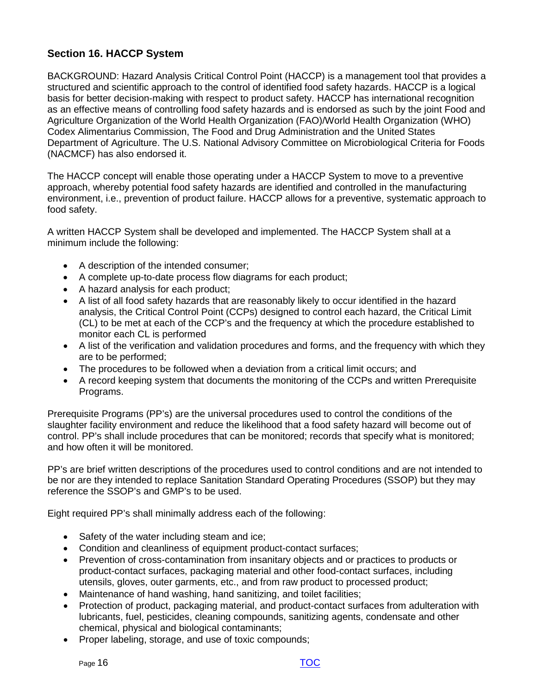# <span id="page-15-0"></span>**Section 16. HACCP System**

BACKGROUND: Hazard Analysis Critical Control Point (HACCP) is a management tool that provides a structured and scientific approach to the control of identified food safety hazards. HACCP is a logical basis for better decision-making with respect to product safety. HACCP has international recognition as an effective means of controlling food safety hazards and is endorsed as such by the joint Food and Agriculture Organization of the World Health Organization (FAO)/World Health Organization (WHO) Codex Alimentarius Commission, The Food and Drug Administration and the United States Department of Agriculture. The U.S. National Advisory Committee on Microbiological Criteria for Foods (NACMCF) has also endorsed it.

The HACCP concept will enable those operating under a HACCP System to move to a preventive approach, whereby potential food safety hazards are identified and controlled in the manufacturing environment, i.e., prevention of product failure. HACCP allows for a preventive, systematic approach to food safety.

A written HACCP System shall be developed and implemented. The HACCP System shall at a minimum include the following:

- A description of the intended consumer;
- A complete up-to-date process flow diagrams for each product;
- A hazard analysis for each product;
- A list of all food safety hazards that are reasonably likely to occur identified in the hazard analysis, the Critical Control Point (CCPs) designed to control each hazard, the Critical Limit (CL) to be met at each of the CCP's and the frequency at which the procedure established to monitor each CL is performed
- A list of the verification and validation procedures and forms, and the frequency with which they are to be performed;
- The procedures to be followed when a deviation from a critical limit occurs; and
- A record keeping system that documents the monitoring of the CCPs and written Prerequisite Programs.

Prerequisite Programs (PP's) are the universal procedures used to control the conditions of the slaughter facility environment and reduce the likelihood that a food safety hazard will become out of control. PP's shall include procedures that can be monitored; records that specify what is monitored; and how often it will be monitored.

PP's are brief written descriptions of the procedures used to control conditions and are not intended to be nor are they intended to replace Sanitation Standard Operating Procedures (SSOP) but they may reference the SSOP's and GMP's to be used.

Eight required PP's shall minimally address each of the following:

- Safety of the water including steam and ice;
- Condition and cleanliness of equipment product-contact surfaces;
- Prevention of cross-contamination from insanitary objects and or practices to products or product-contact surfaces, packaging material and other food-contact surfaces, including utensils, gloves, outer garments, etc., and from raw product to processed product;
- Maintenance of hand washing, hand sanitizing, and toilet facilities;
- Protection of product, packaging material, and product-contact surfaces from adulteration with lubricants, fuel, pesticides, cleaning compounds, sanitizing agents, condensate and other chemical, physical and biological contaminants;
- Proper labeling, storage, and use of toxic compounds;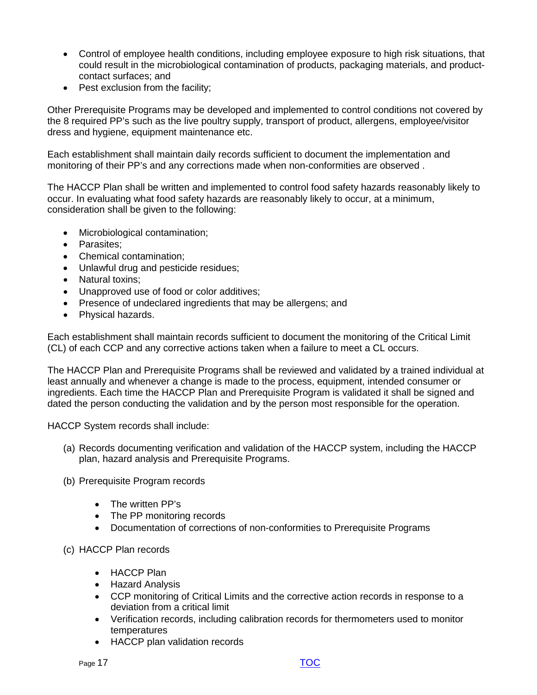- Control of employee health conditions, including employee exposure to high risk situations, that could result in the microbiological contamination of products, packaging materials, and productcontact surfaces; and
- Pest exclusion from the facility;

Other Prerequisite Programs may be developed and implemented to control conditions not covered by the 8 required PP's such as the live poultry supply, transport of product, allergens, employee/visitor dress and hygiene, equipment maintenance etc.

Each establishment shall maintain daily records sufficient to document the implementation and monitoring of their PP's and any corrections made when non-conformities are observed .

The HACCP Plan shall be written and implemented to control food safety hazards reasonably likely to occur. In evaluating what food safety hazards are reasonably likely to occur, at a minimum, consideration shall be given to the following:

- Microbiological contamination;
- Parasites;
- Chemical contamination;
- Unlawful drug and pesticide residues;
- Natural toxins;
- Unapproved use of food or color additives;
- Presence of undeclared ingredients that may be allergens; and
- Physical hazards.

Each establishment shall maintain records sufficient to document the monitoring of the Critical Limit (CL) of each CCP and any corrective actions taken when a failure to meet a CL occurs.

The HACCP Plan and Prerequisite Programs shall be reviewed and validated by a trained individual at least annually and whenever a change is made to the process, equipment, intended consumer or ingredients. Each time the HACCP Plan and Prerequisite Program is validated it shall be signed and dated the person conducting the validation and by the person most responsible for the operation.

HACCP System records shall include:

- (a) Records documenting verification and validation of the HACCP system, including the HACCP plan, hazard analysis and Prerequisite Programs.
- (b) Prerequisite Program records
	- The written PP's
	- The PP monitoring records
	- Documentation of corrections of non-conformities to Prerequisite Programs

(c) HACCP Plan records

- HACCP Plan
- Hazard Analysis
- CCP monitoring of Critical Limits and the corrective action records in response to a deviation from a critical limit
- Verification records, including calibration records for thermometers used to monitor temperatures
- HACCP plan validation records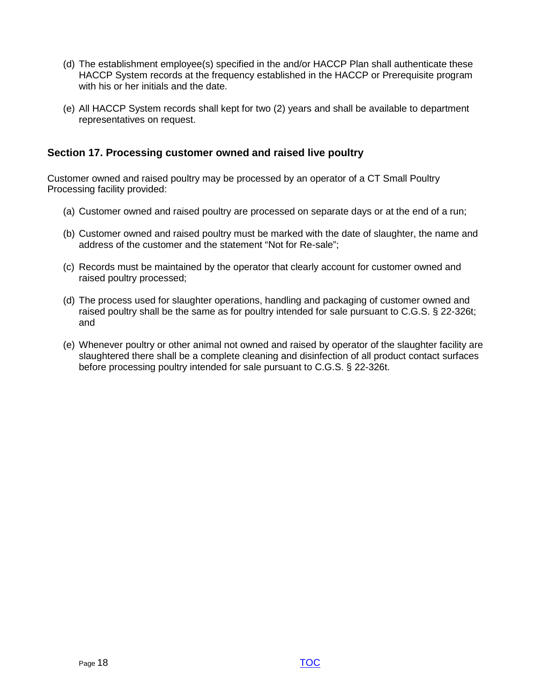- (d) The establishment employee(s) specified in the and/or HACCP Plan shall authenticate these HACCP System records at the frequency established in the HACCP or Prerequisite program with his or her initials and the date.
- (e) All HACCP System records shall kept for two (2) years and shall be available to department representatives on request.

### <span id="page-17-0"></span>**Section 17. Processing customer owned and raised live poultry**

Customer owned and raised poultry may be processed by an operator of a CT Small Poultry Processing facility provided:

- (a) Customer owned and raised poultry are processed on separate days or at the end of a run;
- (b) Customer owned and raised poultry must be marked with the date of slaughter, the name and address of the customer and the statement "Not for Re-sale";
- (c) Records must be maintained by the operator that clearly account for customer owned and raised poultry processed;
- (d) The process used for slaughter operations, handling and packaging of customer owned and raised poultry shall be the same as for poultry intended for sale pursuant to C.G.S. § 22-326t; and
- (e) Whenever poultry or other animal not owned and raised by operator of the slaughter facility are slaughtered there shall be a complete cleaning and disinfection of all product contact surfaces before processing poultry intended for sale pursuant to C.G.S. § 22-326t.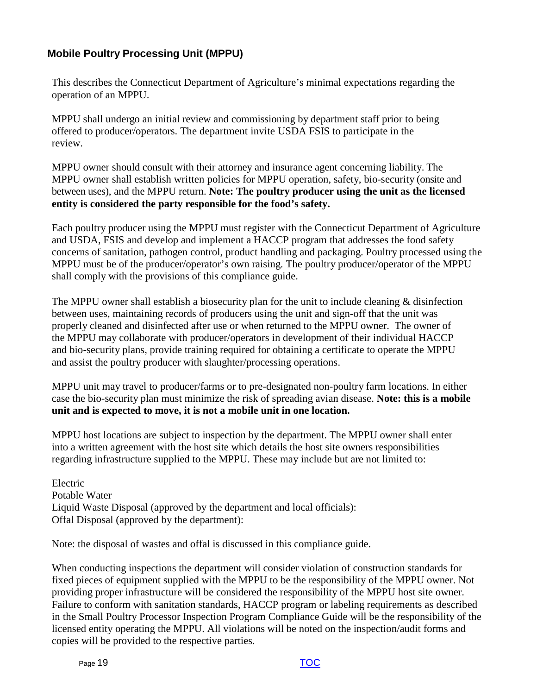# <span id="page-18-0"></span>**Mobile Poultry Processing Unit (MPPU)**

This describes the Connecticut Department of Agriculture's minimal expectations regarding the operation of an MPPU.

MPPU shall undergo an initial review and commissioning by department staff prior to being offered to producer/operators. The department invite USDA FSIS to participate in the review.

MPPU owner should consult with their attorney and insurance agent concerning liability. The MPPU owner shall establish written policies for MPPU operation, safety, bio-security (onsite and between uses), and the MPPU return. **Note: The poultry producer using the unit as the licensed entity is considered the party responsible for the food's safety.**

Each poultry producer using the MPPU must register with the Connecticut Department of Agriculture and USDA, FSIS and develop and implement a HACCP program that addresses the food safety concerns of sanitation, pathogen control, product handling and packaging. Poultry processed using the MPPU must be of the producer/operator's own raising. The poultry producer/operator of the MPPU shall comply with the provisions of this compliance guide.

The MPPU owner shall establish a biosecurity plan for the unit to include cleaning  $\&$  disinfection between uses, maintaining records of producers using the unit and sign-off that the unit was properly cleaned and disinfected after use or when returned to the MPPU owner. The owner of the MPPU may collaborate with producer/operators in development of their individual HACCP and bio-security plans, provide training required for obtaining a certificate to operate the MPPU and assist the poultry producer with slaughter/processing operations.

MPPU unit may travel to producer/farms or to pre-designated non-poultry farm locations. In either case the bio-security plan must minimize the risk of spreading avian disease. **Note: this is a mobile unit and is expected to move, it is not a mobile unit in one location.**

MPPU host locations are subject to inspection by the department. The MPPU owner shall enter into a written agreement with the host site which details the host site owners responsibilities regarding infrastructure supplied to the MPPU. These may include but are not limited to:

Electric Potable Water Liquid Waste Disposal (approved by the department and local officials): Offal Disposal (approved by the department):

Note: the disposal of wastes and offal is discussed in this compliance guide.

When conducting inspections the department will consider violation of construction standards for fixed pieces of equipment supplied with the MPPU to be the responsibility of the MPPU owner. Not providing proper infrastructure will be considered the responsibility of the MPPU host site owner. Failure to conform with sanitation standards, HACCP program or labeling requirements as described in the Small Poultry Processor Inspection Program Compliance Guide will be the responsibility of the licensed entity operating the MPPU. All violations will be noted on the inspection/audit forms and copies will be provided to the respective parties.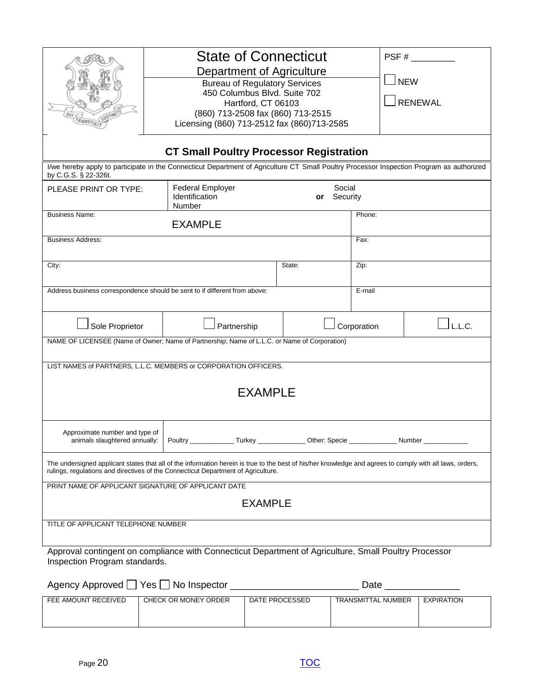<span id="page-19-0"></span>

| <b>RANSTUI</b>                                                  | <b>State of Connecticut</b><br>Department of Agriculture<br><b>Bureau of Regulatory Services</b><br>450 Columbus Blvd. Suite 702<br>Hartford, CT 06103<br>(860) 713-2508 fax (860) 713-2515<br>Licensing (860) 713-2512 fax (860)713-2585     |              |             | PSF#<br><b>NEW</b><br><b>RENEWAL</b> |
|-----------------------------------------------------------------|-----------------------------------------------------------------------------------------------------------------------------------------------------------------------------------------------------------------------------------------------|--------------|-------------|--------------------------------------|
|                                                                 | <b>CT Small Poultry Processor Registration</b>                                                                                                                                                                                                |              |             |                                      |
| by C.G.S. § 22-326t.                                            | I/we hereby apply to participate in the Connecticut Department of Agriculture CT Small Poultry Processor Inspection Program as authorized                                                                                                     |              |             |                                      |
| PLEASE PRINT OR TYPE:                                           | <b>Federal Employer</b><br>Identification<br>Number                                                                                                                                                                                           | Social<br>or | Security    |                                      |
| <b>Business Name:</b>                                           | <b>EXAMPLE</b>                                                                                                                                                                                                                                |              | Phone:      |                                      |
| <b>Business Address:</b>                                        |                                                                                                                                                                                                                                               |              | Fax:        |                                      |
| City:                                                           |                                                                                                                                                                                                                                               | State:       | Zip:        |                                      |
|                                                                 | Address business correspondence should be sent to if different from above:                                                                                                                                                                    |              | E-mail      |                                      |
| Sole Proprietor                                                 | Partnership                                                                                                                                                                                                                                   |              | Corporation | $\sqcup$ L.L.C.                      |
|                                                                 | NAME OF LICENSEE (Name of Owner; Name of Partnership; Name of L.L.C. or Name of Corporation)                                                                                                                                                  |              |             |                                      |
|                                                                 | LIST NAMES of PARTNERS, L.L.C. MEMBERS or CORPORATION OFFICERS.                                                                                                                                                                               |              |             |                                      |
|                                                                 | <b>EXAMPLE</b>                                                                                                                                                                                                                                |              |             |                                      |
|                                                                 |                                                                                                                                                                                                                                               |              |             |                                      |
| Approximate number and type of<br>animals slaughtered annually: | Poultry ______________Turkey _______________Other: Specie ________________Number _____________                                                                                                                                                |              |             |                                      |
|                                                                 | The undersigned applicant states that all of the information herein is true to the best of his/her knowledge and agrees to comply with all laws, orders,<br>rulings, regulations and directives of the Connecticut Department of Agriculture. |              |             |                                      |
| PRINT NAME OF APPLICANT SIGNATURE OF APPLICANT DATE             |                                                                                                                                                                                                                                               |              |             |                                      |
|                                                                 | <b>EXAMPLE</b>                                                                                                                                                                                                                                |              |             |                                      |
| TITLE OF APPLICANT TELEPHONE NUMBER                             |                                                                                                                                                                                                                                               |              |             |                                      |
| Inspection Program standards.                                   | Approval contingent on compliance with Connecticut Department of Agriculture, Small Poultry Processor                                                                                                                                         |              |             |                                      |
|                                                                 |                                                                                                                                                                                                                                               |              |             |                                      |

| FEE AMOUNT RECEIVED | CHECK OR MONEY ORDER | DATE PROCESSED | TRANSMITTAL NUMBER | EXPIRATION |
|---------------------|----------------------|----------------|--------------------|------------|
|                     |                      |                |                    |            |
|                     |                      |                |                    |            |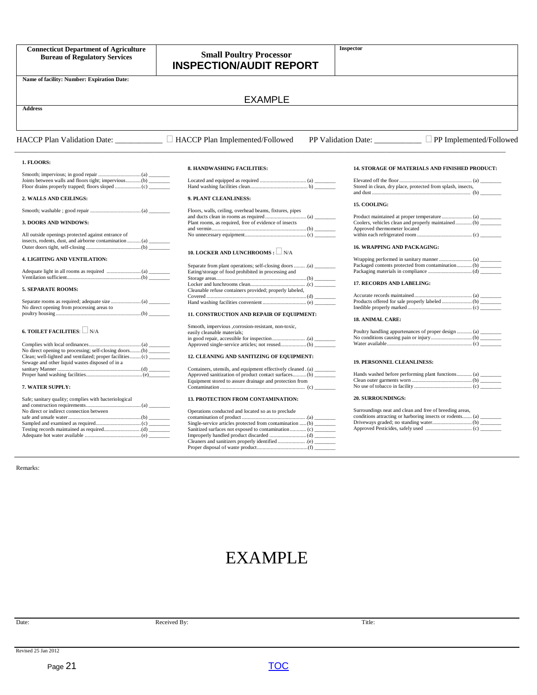**Connecticut Department of Agriculture**

### **Bureau of Regulatory Services Small Poultry Processor INSPECTION/AUDIT REPORT**

**Inspector**

**Name of facility: Number: Expiration Date:**

### <span id="page-20-0"></span>EXAMPLE

HACCP Plan Validation Date: \_\_\_\_\_\_\_\_\_\_\_\_ HACCP Plan Implemented/Followed PP Validation Date: \_\_\_\_\_\_\_\_\_\_\_\_ PP Implemented/Followed

#### **1. FLOORS:**

**Address**

| 2. WALLS AND CEILINGS:                                                                                                  |
|-------------------------------------------------------------------------------------------------------------------------|
|                                                                                                                         |
| 3. DOORS AND WINDOWS:                                                                                                   |
| All outside openings protected against entrance of<br>insects, rodents, dust, and airborne contamination  (a) _________ |
| <b>4. LIGHTING AND VENTILATION:</b>                                                                                     |
|                                                                                                                         |

#### **5. SEPARATE ROOMS:**

| No direct opening from processing areas to |
|--------------------------------------------|
|                                            |

### **6. TOILET FACILITIES:**  $\Box$  N/A

| No direct opening to processing; self-closing doors(b)             |  |
|--------------------------------------------------------------------|--|
| Clean; well-lighted and ventilated; proper facilities (c) ________ |  |
| Sewage and other liquid wastes disposed of in a                    |  |
|                                                                    |  |
|                                                                    |  |

#### **7. WATER SUPPLY:**

| Safe; sanitary quality; complies with bacteriological |  |
|-------------------------------------------------------|--|
|                                                       |  |
| No direct or indirect connection between              |  |
|                                                       |  |
|                                                       |  |
|                                                       |  |
|                                                       |  |

Remarks:

#### **8. HANDWASHING FACILITIES:**

\_\_\_\_\_\_\_\_\_\_\_\_\_\_\_\_\_\_\_\_\_\_\_\_\_\_\_\_\_\_\_\_\_\_\_\_\_\_\_\_\_\_\_\_\_\_\_\_\_\_\_\_\_\_\_\_\_\_\_\_\_\_\_\_\_\_\_\_\_\_\_\_\_\_\_\_\_\_\_\_\_\_\_\_\_\_\_\_\_\_\_\_\_\_\_\_\_\_\_\_\_\_\_\_\_\_\_\_\_\_\_\_\_\_\_\_\_\_\_\_\_\_\_\_\_\_\_\_\_\_\_\_\_\_\_\_\_\_\_\_

#### **9. PLANT CLEANLINESS:**

| Floors, walls, ceiling, overhead beams, fixtures, pipes |
|---------------------------------------------------------|
|                                                         |
| Plant rooms, as required, free of evidence of insects   |
|                                                         |
|                                                         |
|                                                         |

#### **10. LOCKER AND LUNCHROOMS :**  $\Box$  N/A

| Eating/storage of food prohibited in processing and     |  |
|---------------------------------------------------------|--|
|                                                         |  |
|                                                         |  |
| Cleanable refuse containers provided; properly labeled, |  |
|                                                         |  |
|                                                         |  |
|                                                         |  |

#### **11. CONSTRUCTION AND REPAIR OF EQUIPMENT:**

| Smooth, impervious , corrosion-resistant, non-toxic, |
|------------------------------------------------------|
| easily cleanable materials;                          |
|                                                      |
|                                                      |

#### **12. CLEANING AND SANITIZING OF EQUIPMENT:**

| Containers, utensils, and equipment effectively cleaned (a)    |
|----------------------------------------------------------------|
| Approved sanitization of product contact surfaces (b) ________ |
| Equipment stored to assure drainage and protection from        |
|                                                                |
|                                                                |

#### **13. PROTECTION FROM CONTAMINATION:**

#### Operations conducted and located so as to preclude

| Single-service articles protected from contamination  (b) |
|-----------------------------------------------------------|
|                                                           |
|                                                           |
|                                                           |
|                                                           |

#### **14. STORAGE OF MATERIALS AND FINISHED PRODUCT:**

| Stored in clean, dry place, protected from splash, insects,                         |  |
|-------------------------------------------------------------------------------------|--|
| 15. COOLING:                                                                        |  |
| Coolers, vehicles clean and properly maintained (b)<br>Approved thermometer located |  |

#### **16. WRAPPING AND PACKAGING:**

#### **17. RECORDS AND LABELING:**

#### **18. ANIMAL CARE:**

| Poultry handling appurtenances of proper design  (a) |  |
|------------------------------------------------------|--|
|                                                      |  |
|                                                      |  |

#### **19. PERSONNEL CLEANLINESS:**

#### **20. SURROUNDINGS:**

| Surroundings neat and clean and free of breeding areas,   |
|-----------------------------------------------------------|
| conditions attracting or harboring insects or rodents (a) |
|                                                           |
|                                                           |

# EXAMPLE

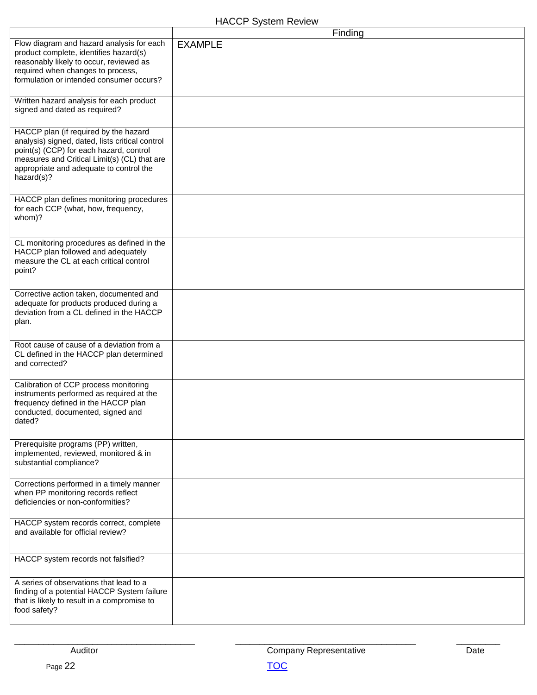# HACCP System Review

|                                                                                                                                                                                                                                              | <b>INUUL UYSIGIII INGVIGW</b> |         |
|----------------------------------------------------------------------------------------------------------------------------------------------------------------------------------------------------------------------------------------------|-------------------------------|---------|
|                                                                                                                                                                                                                                              |                               | Finding |
| Flow diagram and hazard analysis for each<br>product complete, identifies hazard(s)<br>reasonably likely to occur, reviewed as<br>required when changes to process,<br>formulation or intended consumer occurs?                              | <b>EXAMPLE</b>                |         |
| Written hazard analysis for each product<br>signed and dated as required?                                                                                                                                                                    |                               |         |
| HACCP plan (if required by the hazard<br>analysis) signed, dated, lists critical control<br>point(s) (CCP) for each hazard, control<br>measures and Critical Limit(s) (CL) that are<br>appropriate and adequate to control the<br>hazard(s)? |                               |         |
| HACCP plan defines monitoring procedures<br>for each CCP (what, how, frequency,<br>whom)?                                                                                                                                                    |                               |         |
| CL monitoring procedures as defined in the<br>HACCP plan followed and adequately<br>measure the CL at each critical control<br>point?                                                                                                        |                               |         |
| Corrective action taken, documented and<br>adequate for products produced during a<br>deviation from a CL defined in the HACCP<br>plan.                                                                                                      |                               |         |
| Root cause of cause of a deviation from a<br>CL defined in the HACCP plan determined<br>and corrected?                                                                                                                                       |                               |         |
| Calibration of CCP process monitoring<br>instruments performed as required at the<br>frequency defined in the HACCP plan<br>conducted, documented, signed and<br>dated?                                                                      |                               |         |
| Prerequisite programs (PP) written,<br>implemented, reviewed, monitored & in<br>substantial compliance?                                                                                                                                      |                               |         |
| Corrections performed in a timely manner<br>when PP monitoring records reflect<br>deficiencies or non-conformities?                                                                                                                          |                               |         |
| HACCP system records correct, complete<br>and available for official review?                                                                                                                                                                 |                               |         |
| HACCP system records not falsified?                                                                                                                                                                                                          |                               |         |
| A series of observations that lead to a<br>finding of a potential HACCP System failure<br>that is likely to result in a compromise to<br>food safety?                                                                                        |                               |         |



\_\_\_\_\_\_\_\_\_\_\_\_\_\_\_\_\_\_\_\_\_\_\_\_\_\_\_\_\_\_\_\_\_\_\_\_\_ \_\_\_\_\_\_\_\_\_\_\_\_\_\_\_\_\_\_\_\_\_\_\_\_\_\_\_\_\_\_\_\_\_\_\_\_\_ \_\_\_\_\_\_\_\_\_